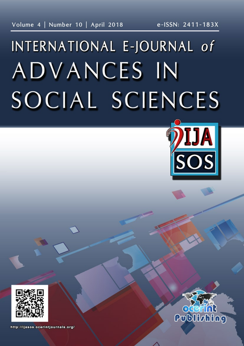# INTERNATIONAL E-JOURNAL of ADVANCES IN SOCIAL SCIENCES





http://ijasos.ocerintjournals.org/

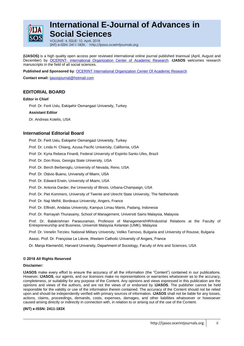

## **International E-Journal of Advances in Social Sciences**

VOLUME: 4, ISSUE: 10, April, 2018 (INT) e-ISSN: 2411-183X, http://ijasos.ocerintjournals.org

**(IJASOS)** is a high quality open access peer reviewed international online journal published triannual (April, August and December) by OCERINT- [International Organization Center of Academic Research.](http://www.ocerints.org/) **IJASOS** welcomes research manuscripts in the field of all social sciences.

**Published and Sponsored by**[: OCERINT International Organization](http://www.ocerints.org/) Center Of Academic Research

**Contact email:** [ijasosjournal@hotmail.com](mailto:ijasosjournal@hotmail.com)

#### **EDITORIAL BOARD**

#### **Editor in Chief**

Prof. Dr. Ferit Uslu, Eskişehir Osmangazi University, Turkey

#### **Assistant Editor**

Dr. Andreas Kotelis, USA

#### **International Editorial Board**

Prof. Dr. Ferit Uslu, Eskişehir Osmangazi University, Turkey

Prof. Dr. Linda H. Chiang, Azusa Pacific University, California, USA

Prof. Dr. Kyria Rebeca Finardi, Federal University of Espirito Santo-Ufes, Brazil

Prof. Dr. Don Ross, Georgia State University, USA

Prof. Dr. Berch Berberoglu, University of Nevada, Reno, USA

Prof. Dr. Otávio Bueno, University of Miami, USA

Prof. Dr. Edward Erwin, University of Miami, USA

Prof. Dr. Antonia Darder, the University of Illinois, Urbana-Champaign, USA

Prof. Dr. Piet Kommers, University of Twente and Utrecht State University, The Netherlands

Prof. Dr. Naji Melhli, Bordeaux University, Angers, France

Prof. Dr. Elfindri, Andalas University, Kampus Limau Manis, Padang, Indonesia

Prof. Dr. Ramayah Thurasamy, School of Management, Universiti Sains Malaysia, Malaysia

Prof. Dr. Balakrishnan Parasuraman, Professor of Management/HR/Industrial Relations at the Faculty of Entrepreneurship and Business, Universiti Malaysia Kelantan (UMK), Malaysia

Prof. Dr. Venelin Terziev, National Military University, Veliko Tarnovo, Bulgaria and University of Rousse, Bulgaria

Assoc. Prof. Dr. Françoise Le Lièvre, Western Catholic University of Angers, France

Dr. Manja Klemenčič, Harvard University, Department of Sociology, Faculty of Arts and Sciences, USA

#### **© 2018 All Rights Reserved**

#### **Disclaimer:**

**IJASOS** make every effort to ensure the accuracy of all the information (the "Content") contained in our publications. However, **IJASOS**, our agents, and our licensors make no representations or warranties whatsoever as to the accuracy, completeness, or suitability for any purpose of the Content. Any opinions and views expressed in this publication are the opinions and views of the authors, and are not the views of or endorsed by **IJASOS**. The publisher cannot be held responsible for the validity or use of the information therein contained. The accuracy of the Content should not be relied upon and should be independently verified with primary sources of information. **IJASOS** shall not be liable for any losses, actions, claims, proceedings, demands, costs, expenses, damages, and other liabilities whatsoever or howsoever caused arising directly or indirectly in connection with, in relation to or arising out of the use of the Content.

#### **(INT) e-ISSN: 2411-183X**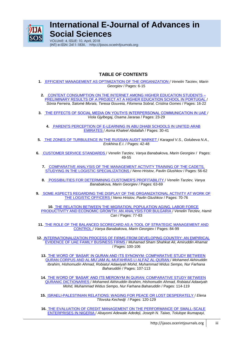

## **International E-Journal of Advances in Social Sciences**

VOLUME: 4, ISSUE: 10, April, 2018 (INT) e-ISSN: 2411-183X, http://ijasos.ocerintjournals.org

### **TABLE OF CONTENTS**

- **1.** [EFFICIENT MANAGEMENT AS OPTIMIZATION OF THE ORGANIZATION](http://ijasos.ocerintjournals.org/issue/36555/415490) / *Venelin Tarziev, Marin Georgiev* / Pages: 6-15
- **2.** [CONTENT CONSUMPTION ON THE INTERNET AMONG HIGHER EDUCATION STUDENTS –](http://ijasos.ocerintjournals.org/issue/36555/415491) [PRELIMINARY RESULTS OF A PROJECT AT A HIGHER EDUCATION SCHOOL IN PORTUGAL](http://ijasos.ocerintjournals.org/issue/36555/415491) / *Sónia Ferreira, Salomé Morais, Teresa Gouveia, Filomena Sobral, Cristina Gomes* / Pages: 16-22
- **3.** [THE EFFECTS OF SOCIAL MEDIA ON YOUTH"S INTERPERSONAL COMMUNICATION IN UAE](http://ijasos.ocerintjournals.org/issue/36555/415493) / *Viola Gjylbegaj, Osama Jararaa* / Pages: 23-29
	- **4.** [PARENTS PERCEPTION OF E-LEARNING IN ABU DHABI SCHOOLS IN UNITED ARAB](http://ijasos.ocerintjournals.org/issue/36555/415513)  [EMIRATES](http://ijasos.ocerintjournals.org/issue/36555/415513) / *Asma Khaleel Abdallah* / Pages: 30-41
- **5.** [THE ZONES OF TURBULENCE IN THE RUSSIAN AUDIT MARKET](http://ijasos.ocerintjournals.org/issue/36555/415516) / *Karagod V.S., Golubeva N.A., Erokhina E.I*. / Pages: 42-48
- **6.** [CUSTOMER SERVICE STANDARDS](http://ijasos.ocerintjournals.org/issue/36555/415520) / *Venelin Tarziev, Vanya Banabakova, Marin Georgiev* / Pages: 49-55
	- **7.** [COMPARATIVE ANALYSIS OF THE MANAGEMENT ACTIVITY TRAINING OF THE CADETS,](http://ijasos.ocerintjournals.org/issue/36555/415524)  [STUDYING IN THE LOGISTIC SPECIALIZATIONS](http://ijasos.ocerintjournals.org/issue/36555/415524) / *Neno Hristov, Pavlin Glushkov* / Pages: 56-62
	- **8.** [POSSIBILITIES FOR DETERMINING CUSTOMER'S PROFITABILITY](http://ijasos.ocerintjournals.org/issue/36555/415527) / *Venelin Tarziev, Vanya Banabakova, Marin Georgiev* / Pages: 63-69
- **9.** [SOME ASPECTS REGARDING THE DISPLAY OF THE ORGANIZATIONAL ACTIVITY AT WORK OF](http://ijasos.ocerintjournals.org/issue/36555/415529)  [THE LOGISTIC OFFICERS](http://ijasos.ocerintjournals.org/issue/36555/415529) / *Neno Hristov, Pavlin Glushkov* / Pages: 70-76

**10.** [THE RELATION BETWEEN THE MIGRATION, POPULATION AGING, LABOR FORCE](http://ijasos.ocerintjournals.org/issue/36555/415535)  [PRODUCTIVITY AND ECONOMIC GROWTH: AN ANALYSIS FOR BULGARIA](http://ijasos.ocerintjournals.org/issue/36555/415535) / *Venelin Terziev, Hamit Can* / Pages: 77-83

**11.** [THE ROLE OF THE BALANCED SCORECARD AS A TOOL OF STRATEGIC](http://ijasos.ocerintjournals.org/issue/36555/417696) MANAGEMENT AND [CONTROL](http://ijasos.ocerintjournals.org/issue/36555/417696) / *Vanya Banabakova, Marin Georgiev* / Pages: 84-99

- **12.** [INTERNATIONALIZATION PROCESS OF FIRMS FROM DEVELOPING COUNTRY: AN EMPIRICAL](http://ijasos.ocerintjournals.org/issue/36555/417700)  [EVIDENCE OF UAE FAMILY BUSINESS FIRMS](http://ijasos.ocerintjournals.org/issue/36555/417700) / *Muhamad Sham Shahkat Ali, Amiruddin Ahamat* / Pages: 100-106
	- **13.** [THE WORD OF "BASAR" IN QURAN AND ITS SYNONYM: COMPARATIVE STUDY BETWEEN](http://ijasos.ocerintjournals.org/issue/36555/417701)  [QURAN CORPUS AND AL-MU"JAM AL-MUFAHRAS LI ALFAZ AL-QURAN](http://ijasos.ocerintjournals.org/issue/36555/417701) / *Mohamed Akhiruddin Ibrahim, Hishomudin Ahmad, Robiatul Adawiyah Mohd, Muhammad Widus Sempo, Nur Farhana Baharuddin* / Pages: 107-113
	- **14.** [THE WORD OF "BASAR" AND ITS MERONYM IN QURAN: COMPARATIVE STUDY BETWEEN](http://ijasos.ocerintjournals.org/issue/36555/417702)  [QURANIC DICTIONARIES](http://ijasos.ocerintjournals.org/issue/36555/417702) / *Mohamed Akhiruddin Ibrahim, Hishomudin Ahmad, Robiatul Adawiyah Mohd, Muhammad Widus Sempo, Nur Farhana Baharuddin* / Pages: 114-119

**15.** [ISRAELI-PALESTINIAN RELATIONS: WAGING FOR PEACE OR LOST DESPERATELY](http://ijasos.ocerintjournals.org/issue/36555/417704) / *Elena TIlovska Kechedji* / Pages: 120-129

**16.** [THE EVALUATION OF CREDIT MANAGEMENT ON THE PERFORMANCE OF SMALL-SCALE](http://ijasos.ocerintjournals.org/issue/36555/417706)  [ENTERPRISES IN NIGERIA](http://ijasos.ocerintjournals.org/issue/36555/417706) / *Abayomi Adewale Adedeji, Joseph N. Taiwo, Tolulope Ikumapayi,*